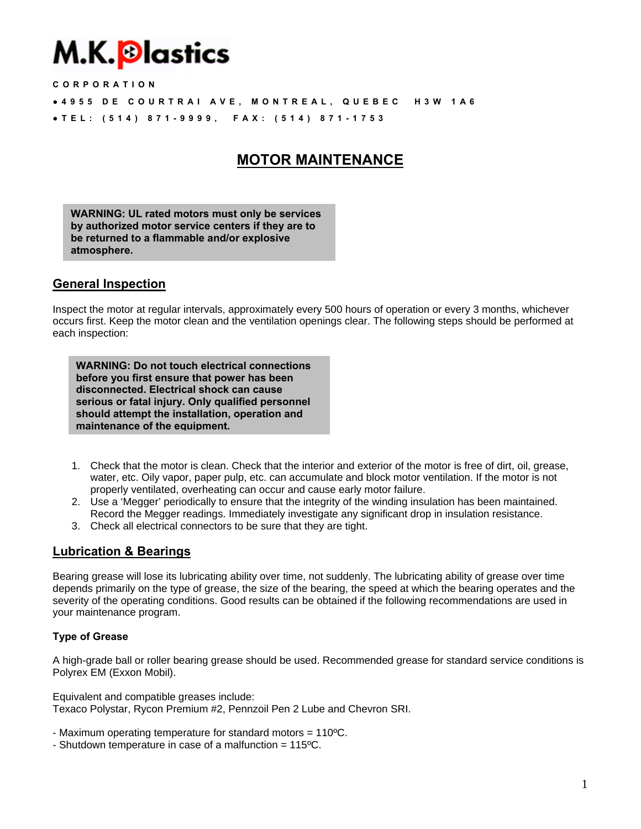# M.K.<mark>®lastics</mark>

**CORPORATION** 

- **● 4955 DE COURTRAI AVE, MONTREAL, QUEBEC H3W 1A6**
- **● TEL: (514) 871-9999, FAX: (514) 871-1753**

## **MOTOR MAINTENANCE**

**WARNING: UL rated motors must only be services by authorized motor service centers if they are to be returned to a flammable and/or explosive atmosphere.** 

## **General Inspection**

Inspect the motor at regular intervals, approximately every 500 hours of operation or every 3 months, whichever occurs first. Keep the motor clean and the ventilation openings clear. The following steps should be performed at each inspection:

**WARNING: Do not touch electrical connections before you first ensure that power has been disconnected. Electrical shock can cause serious or fatal injury. Only qualified personnel should attempt the installation, operation and maintenance of the equipment.** 

- 1. Check that the motor is clean. Check that the interior and exterior of the motor is free of dirt, oil, grease, water, etc. Oily vapor, paper pulp, etc. can accumulate and block motor ventilation. If the motor is not properly ventilated, overheating can occur and cause early motor failure.
- 2. Use a 'Megger' periodically to ensure that the integrity of the winding insulation has been maintained. Record the Megger readings. Immediately investigate any significant drop in insulation resistance.
- 3. Check all electrical connectors to be sure that they are tight.

## **Lubrication & Bearings**

Bearing grease will lose its lubricating ability over time, not suddenly. The lubricating ability of grease over time depends primarily on the type of grease, the size of the bearing, the speed at which the bearing operates and the severity of the operating conditions. Good results can be obtained if the following recommendations are used in your maintenance program.

#### **Type of Grease**

A high-grade ball or roller bearing grease should be used. Recommended grease for standard service conditions is Polyrex EM (Exxon Mobil).

Equivalent and compatible greases include: Texaco Polystar, Rycon Premium #2, Pennzoil Pen 2 Lube and Chevron SRI.

- Maximum operating temperature for standard motors = 110ºC.

- Shutdown temperature in case of a malfunction = 115ºC.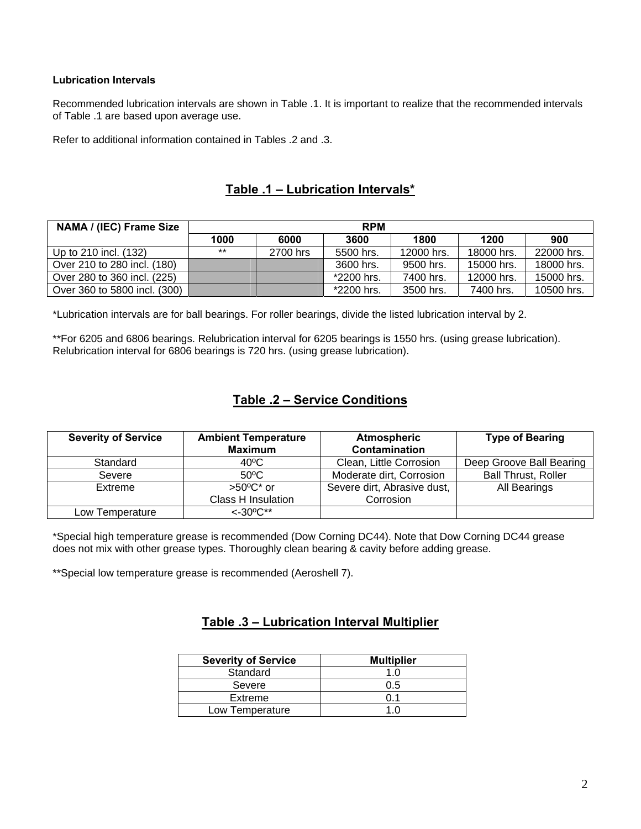#### **Lubrication Intervals**

Recommended lubrication intervals are shown in Table .1. It is important to realize that the recommended intervals of Table .1 are based upon average use.

Refer to additional information contained in Tables .2 and .3.

## **Table .1 – Lubrication Intervals\***

| <b>NAMA / (IEC) Frame Size</b> | <b>RPM</b> |          |            |            |            |            |
|--------------------------------|------------|----------|------------|------------|------------|------------|
|                                | 1000       | 6000     | 3600       | 1800       | 1200       | 900        |
| Up to 210 incl. (132)          | $***$      | 2700 hrs | 5500 hrs.  | 12000 hrs. | 18000 hrs. | 22000 hrs. |
| Over 210 to 280 incl. (180)    |            |          | 3600 hrs.  | 9500 hrs.  | 15000 hrs. | 18000 hrs. |
| Over 280 to 360 incl. (225)    |            |          | *2200 hrs. | 7400 hrs.  | 12000 hrs. | 15000 hrs. |
| Over 360 to 5800 incl. (300)   |            |          | *2200 hrs. | 3500 hrs.  | 7400 hrs.  | 10500 hrs. |

\*Lubrication intervals are for ball bearings. For roller bearings, divide the listed lubrication interval by 2.

\*\*For 6205 and 6806 bearings. Relubrication interval for 6205 bearings is 1550 hrs. (using grease lubrication). Relubrication interval for 6806 bearings is 720 hrs. (using grease lubrication).

## **Table .2 – Service Conditions**

| <b>Severity of Service</b> | <b>Ambient Temperature</b><br><b>Maximum</b> | <b>Atmospheric</b><br>Contamination | <b>Type of Bearing</b>     |  |
|----------------------------|----------------------------------------------|-------------------------------------|----------------------------|--|
| Standard                   | 40°C                                         | Clean, Little Corrosion             | Deep Groove Ball Bearing   |  |
| Severe                     | $50^{\circ}$ C                               | Moderate dirt, Corrosion            | <b>Ball Thrust, Roller</b> |  |
| Extreme                    | $>50^{\circ}$ C* or                          | Severe dirt, Abrasive dust,         | All Bearings               |  |
|                            | <b>Class H Insulation</b>                    | Corrosion                           |                            |  |
| Low Temperature            | $<-30^{\circ}C^{**}$                         |                                     |                            |  |

\*Special high temperature grease is recommended (Dow Corning DC44). Note that Dow Corning DC44 grease does not mix with other grease types. Thoroughly clean bearing & cavity before adding grease.

\*\*Special low temperature grease is recommended (Aeroshell 7).

## **Table .3 – Lubrication Interval Multiplier**

| <b>Severity of Service</b> | <b>Multiplier</b> |  |  |
|----------------------------|-------------------|--|--|
| Standard                   | 1 በ               |  |  |
| Severe                     | 0.5               |  |  |
| Extreme                    | 0.1               |  |  |
| Low Temperature            | 1 በ               |  |  |